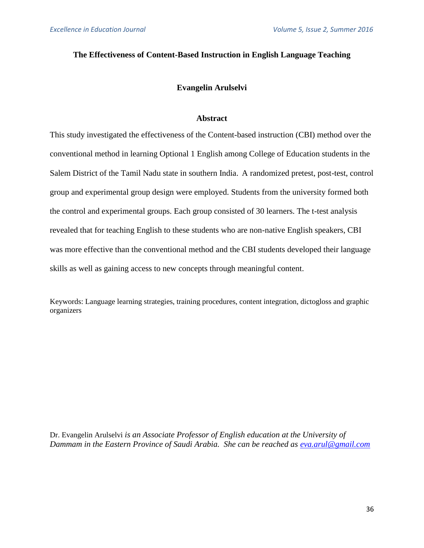# **The Effectiveness of Content-Based Instruction in English Language Teaching**

# **Evangelin Arulselvi**

# **Abstract**

This study investigated the effectiveness of the Content-based instruction (CBI) method over the conventional method in learning Optional 1 English among College of Education students in the Salem District of the Tamil Nadu state in southern India. A randomized pretest, post-test, control group and experimental group design were employed. Students from the university formed both the control and experimental groups. Each group consisted of 30 learners. The t-test analysis revealed that for teaching English to these students who are non-native English speakers, CBI was more effective than the conventional method and the CBI students developed their language skills as well as gaining access to new concepts through meaningful content.

Keywords: Language learning strategies, training procedures, content integration, dictogloss and graphic organizers

Dr. Evangelin Arulselvi *is an Associate Professor of English education at the University of Dammam in the Eastern Province of Saudi Arabia. She can be reached as [eva.arul@gmail.com](mailto:eva.arul@gmail.com)*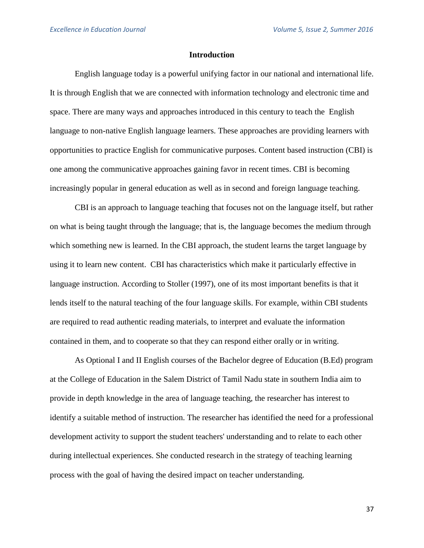#### **Introduction**

English language today is a powerful unifying factor in our national and international life. It is through English that we are connected with information technology and electronic time and space. There are many ways and approaches introduced in this century to teach the English language to non-native English language learners. These approaches are providing learners with opportunities to practice English for communicative purposes. Content based instruction (CBI) is one among the communicative approaches gaining favor in recent times. CBI is becoming increasingly popular in general education as well as in second and foreign language teaching.

CBI is an approach to language teaching that focuses not on the language itself, but rather on what is being taught through the language; that is, the language becomes the medium through which something new is learned. In the CBI approach, the student learns the target language by using it to learn new content. CBI has characteristics which make it particularly effective in language instruction. According to Stoller (1997), one of its most important benefits is that it lends itself to the natural teaching of the four language skills. For example, within CBI students are required to read authentic reading materials, to interpret and evaluate the information contained in them, and to cooperate so that they can respond either orally or in writing.

As Optional I and II English courses of the Bachelor degree of Education (B.Ed) program at the College of Education in the Salem District of Tamil Nadu state in southern India aim to provide in depth knowledge in the area of language teaching, the researcher has interest to identify a suitable method of instruction. The researcher has identified the need for a professional development activity to support the student teachers' understanding and to relate to each other during intellectual experiences. She conducted research in the strategy of teaching learning process with the goal of having the desired impact on teacher understanding.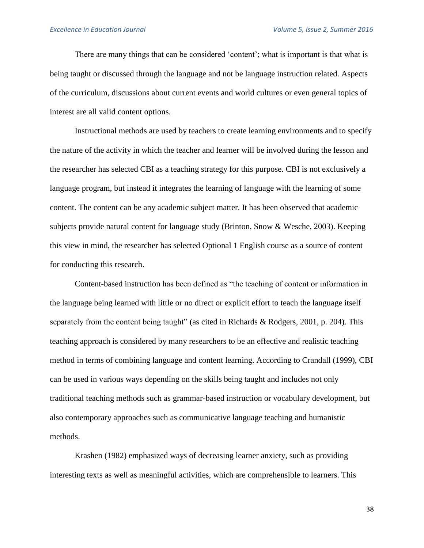There are many things that can be considered 'content'; what is important is that what is being taught or discussed through the language and not be language instruction related. Aspects of the curriculum, discussions about current events and world cultures or even general topics of interest are all valid content options.

Instructional methods are used by teachers to create learning environments and to specify the nature of the activity in which the teacher and learner will be involved during the lesson and the researcher has selected CBI as a teaching strategy for this purpose. CBI is not exclusively a language program, but instead it integrates the learning of language with the learning of some content. The content can be any academic subject matter. It has been observed that academic subjects provide natural content for language study (Brinton, Snow & Wesche, 2003). Keeping this view in mind, the researcher has selected Optional 1 English course as a source of content for conducting this research.

Content-based instruction has been defined as "the teaching of content or information in the language being learned with little or no direct or explicit effort to teach the language itself separately from the content being taught" (as cited in Richards & Rodgers, 2001, p. 204). This teaching approach is considered by many researchers to be an effective and realistic teaching method in terms of combining language and content learning. According to Crandall (1999), CBI can be used in various ways depending on the skills being taught and includes not only traditional teaching methods such as grammar-based instruction or vocabulary development, but also contemporary approaches such as communicative language teaching and humanistic methods.

Krashen (1982) emphasized ways of decreasing learner anxiety, such as providing interesting texts as well as meaningful activities, which are comprehensible to learners. This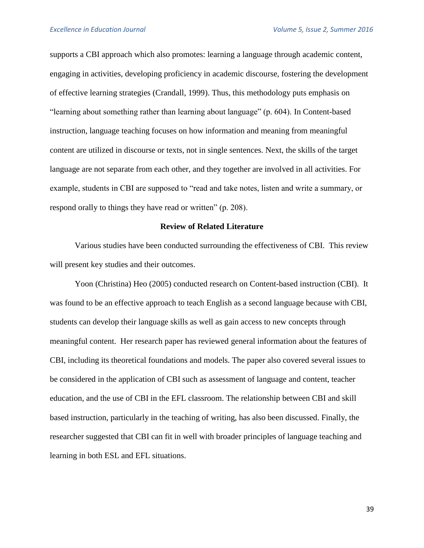supports a CBI approach which also promotes: learning a language through academic content, engaging in activities, developing proficiency in academic discourse, fostering the development of effective learning strategies (Crandall, 1999). Thus, this methodology puts emphasis on "learning about something rather than learning about language" (p. 604). In Content-based instruction, language teaching focuses on how information and meaning from meaningful content are utilized in discourse or texts, not in single sentences. Next, the skills of the target language are not separate from each other, and they together are involved in all activities. For example, students in CBI are supposed to "read and take notes, listen and write a summary, or respond orally to things they have read or written" (p. 208).

## **Review of Related Literature**

Various studies have been conducted surrounding the effectiveness of CBI. This review will present key studies and their outcomes.

Yoon (Christina) Heo (2005) conducted research on Content-based instruction (CBI). It was found to be an effective approach to teach English as a second language because with CBI, students can develop their language skills as well as gain access to new concepts through meaningful content. Her research paper has reviewed general information about the features of CBI, including its theoretical foundations and models. The paper also covered several issues to be considered in the application of CBI such as assessment of language and content, teacher education, and the use of CBI in the EFL classroom. The relationship between CBI and skill based instruction, particularly in the teaching of writing, has also been discussed. Finally, the researcher suggested that CBI can fit in well with broader principles of language teaching and learning in both ESL and EFL situations.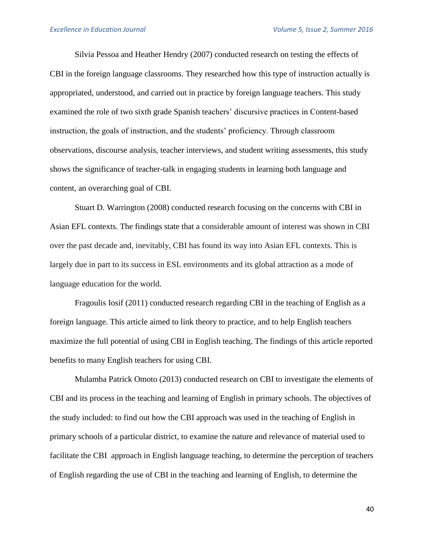Silvia Pessoa and Heather Hendry (2007) conducted research on testing the effects of CBI in the foreign language classrooms. They researched how this type of instruction actually is appropriated, understood, and carried out in practice by foreign language teachers. This study examined the role of two sixth grade Spanish teachers' discursive practices in Content-based instruction, the goals of instruction, and the students' proficiency. Through classroom observations, discourse analysis, teacher interviews, and student writing assessments, this study shows the significance of teacher-talk in engaging students in learning both language and content, an overarching goal of CBI.

Stuart D. Warrington (2008) conducted research focusing on the concerns with CBI in Asian EFL contexts. The findings state that a considerable amount of interest was shown in CBI over the past decade and, inevitably, CBI has found its way into Asian EFL contexts. This is largely due in part to its success in ESL environments and its global attraction as a mode of language education for the world.

Fragoulis Iosif (2011) conducted research regarding CBI in the teaching of English as a foreign language. This article aimed to link theory to practice, and to help English teachers maximize the full potential of using CBI in English teaching. The findings of this article reported benefits to many English teachers for using CBI.

Mulamba Patrick Omoto (2013) conducted research on CBI to investigate the elements of CBI and its process in the teaching and learning of English in primary schools. The objectives of the study included: to find out how the CBI approach was used in the teaching of English in primary schools of a particular district, to examine the nature and relevance of material used to facilitate the CBI approach in English language teaching, to determine the perception of teachers of English regarding the use of CBI in the teaching and learning of English, to determine the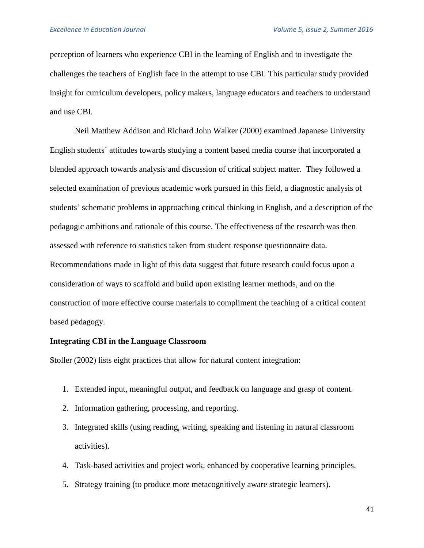perception of learners who experience CBI in the learning of English and to investigate the challenges the teachers of English face in the attempt to use CBI. This particular study provided insight for curriculum developers, policy makers, language educators and teachers to understand and use CBI.

Neil Matthew Addison and Richard John Walker (2000) examined Japanese University English students` attitudes towards studying a content based media course that incorporated a blended approach towards analysis and discussion of critical subject matter. They followed a selected examination of previous academic work pursued in this field, a diagnostic analysis of students' schematic problems in approaching critical thinking in English, and a description of the pedagogic ambitions and rationale of this course. The effectiveness of the research was then assessed with reference to statistics taken from student response questionnaire data. Recommendations made in light of this data suggest that future research could focus upon a consideration of ways to scaffold and build upon existing learner methods, and on the construction of more effective course materials to compliment the teaching of a critical content based pedagogy.

### **Integrating CBI in the Language Classroom**

Stoller (2002) lists eight practices that allow for natural content integration:

- 1. Extended input, meaningful output, and feedback on language and grasp of content.
- 2. Information gathering, processing, and reporting.
- 3. Integrated skills (using [reading, writing, speaking and listening](http://www.educ.ualberta.ca/staff/olenka.bilash/best%20of%20bilash/fourskills.html) in natural classroom activities).
- 4. [Task-based activities](http://www.educ.ualberta.ca/staff/olenka.bilash/best%20of%20bilash/taskbasedlanguageteaching.html) and project work, enhanced by cooperative learning principles.
- 5. [Strategy training](http://www.educ.ualberta.ca/staff/olenka.bilash/best%20of%20bilash/language%20learning%20strats.html) (to produce more metacognitively aware strategic learners).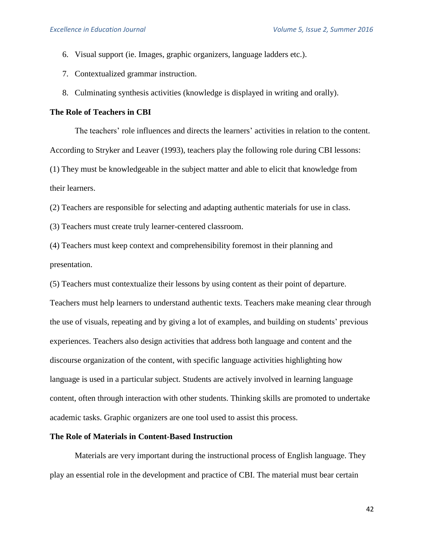- 6. [Visual support](http://www.educ.ualberta.ca/staff/olenka.bilash/best%20of%20bilash/gestures%20and%20visuals.html) (ie. Images, graphic organizers, language ladders etc.).
- 7. Contextualized [grammar instruction.](http://www.educ.ualberta.ca/staff/olenka.bilash/best%20of%20bilash/grammar.html)
- 8. [Culminating synthesis activities](http://www.educ.ualberta.ca/staff/olenka.bilash/best%20of%20bilash/forms.html) (knowledge is displayed in writing and orally).

# **The Role of Teachers in CBI**

The teachers' role influences and directs the learners' activities in relation to the content. According to Stryker and Leaver (1993), teachers play the following role during CBI lessons: (1) They must be knowledgeable in the subject matter and able to elicit that knowledge from their learners.

(2) Teachers are responsible for selecting and adapting authentic materials for use in class.

(3) Teachers must create truly learner-centered classroom.

(4) Teachers must keep context and comprehensibility foremost in their planning and presentation.

(5) Teachers must contextualize their lessons by using content as their point of departure.

Teachers must help learners to understand authentic texts. Teachers make meaning clear through the use of visuals, repeating and by giving a lot of examples, and building on students' previous experiences. Teachers also design activities that address both language and content and the discourse organization of the content, with specific language activities highlighting how language is used in a particular subject. Students are actively involved in learning language content, often through interaction with other students. Thinking skills are promoted to undertake academic tasks. Graphic organizers are one tool used to assist this process.

## **The Role of Materials in Content-Based Instruction**

Materials are very important during the instructional process of English language. They play an essential role in the development and practice of CBI. The material must bear certain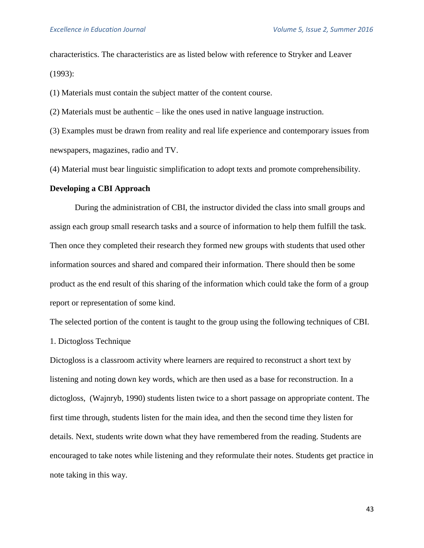characteristics. The characteristics are as listed below with reference to Stryker and Leaver (1993):

(1) Materials must contain the subject matter of the content course.

(2) Materials must be authentic – like the ones used in native language instruction.

(3) Examples must be drawn from reality and real life experience and contemporary issues from newspapers, magazines, radio and TV.

(4) Material must bear linguistic simplification to adopt texts and promote comprehensibility.

### **Developing a CBI Approach**

During the administration of CBI, the instructor divided the class into small groups and assign each group small research tasks and a source of information to help them fulfill the task. Then once they completed their research they formed new groups with students that used other information sources and shared and compared their information. There should then be some product as the end result of this sharing of the information which could take the form of a group report or representation of some kind.

The selected portion of the content is taught to the group using the following techniques of CBI.

1. Dictogloss Technique

Dictogloss is a classroom activity where learners are required to reconstruct a short text by listening and noting down key words, which are then used as a base for reconstruction. In a dictogloss, (Wajnryb, 1990) students listen twice to a short passage on appropriate content. The first time through, students listen for the main idea, and then the second time they listen for details. Next, students write down what they have remembered from the reading. Students are encouraged to take notes while listening and they reformulate their notes. Students get practice in note taking in this way.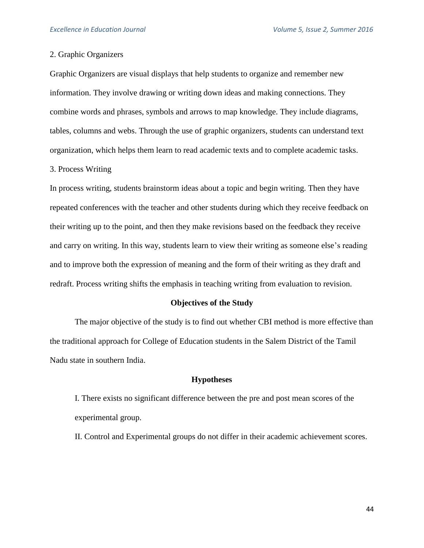### 2. Graphic Organizers

Graphic Organizers are visual displays that help students to organize and remember new information. They involve drawing or writing down ideas and making connections. They combine words and phrases, symbols and arrows to map knowledge. They include diagrams, tables, columns and webs. Through the use of graphic organizers, students can understand text organization, which helps them learn to read academic texts and to complete academic tasks.

### 3. Process Writing

In process writing, students brainstorm ideas about a topic and begin writing. Then they have repeated conferences with the teacher and other students during which they receive feedback on their writing up to the point, and then they make revisions based on the feedback they receive and carry on writing. In this way, students learn to view their writing as someone else's reading and to improve both the expression of meaning and the form of their writing as they draft and redraft. Process writing shifts the emphasis in teaching writing from evaluation to revision.

### **Objectives of the Study**

The major objective of the study is to find out whether CBI method is more effective than the traditional approach for College of Education students in the Salem District of the Tamil Nadu state in southern India.

### **Hypotheses**

- I. There exists no significant difference between the pre and post mean scores of the experimental group.
- II. Control and Experimental groups do not differ in their academic achievement scores.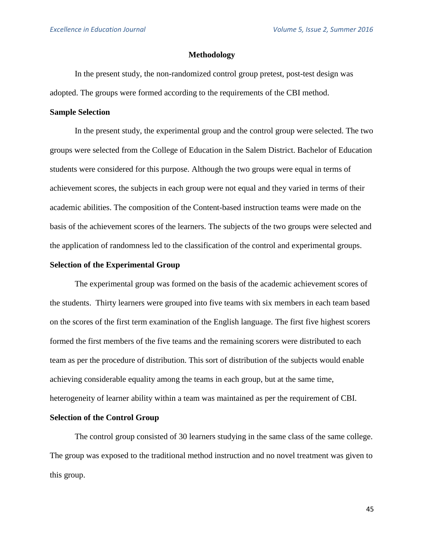### **Methodology**

In the present study, the non-randomized control group pretest, post-test design was adopted. The groups were formed according to the requirements of the CBI method.

#### **Sample Selection**

In the present study, the experimental group and the control group were selected. The two groups were selected from the College of Education in the Salem District. Bachelor of Education students were considered for this purpose. Although the two groups were equal in terms of achievement scores, the subjects in each group were not equal and they varied in terms of their academic abilities. The composition of the Content-based instruction teams were made on the basis of the achievement scores of the learners. The subjects of the two groups were selected and the application of randomness led to the classification of the control and experimental groups.

## **Selection of the Experimental Group**

The experimental group was formed on the basis of the academic achievement scores of the students. Thirty learners were grouped into five teams with six members in each team based on the scores of the first term examination of the English language. The first five highest scorers formed the first members of the five teams and the remaining scorers were distributed to each team as per the procedure of distribution. This sort of distribution of the subjects would enable achieving considerable equality among the teams in each group, but at the same time, heterogeneity of learner ability within a team was maintained as per the requirement of CBI.

### **Selection of the Control Group**

The control group consisted of 30 learners studying in the same class of the same college. The group was exposed to the traditional method instruction and no novel treatment was given to this group.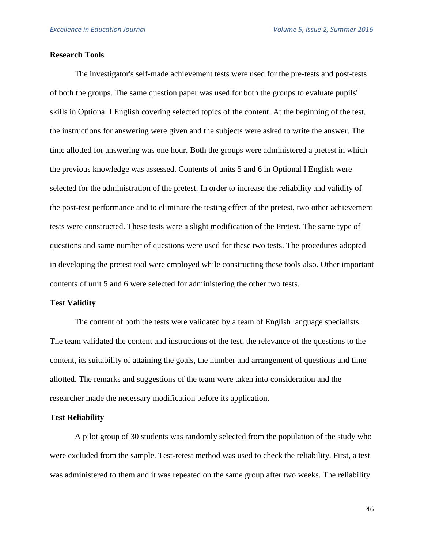### **Research Tools**

The investigator's self-made achievement tests were used for the pre-tests and post-tests of both the groups. The same question paper was used for both the groups to evaluate pupils' skills in Optional I English covering selected topics of the content. At the beginning of the test, the instructions for answering were given and the subjects were asked to write the answer. The time allotted for answering was one hour. Both the groups were administered a pretest in which the previous knowledge was assessed. Contents of units 5 and 6 in Optional I English were selected for the administration of the pretest. In order to increase the reliability and validity of the post-test performance and to eliminate the testing effect of the pretest, two other achievement tests were constructed. These tests were a slight modification of the Pretest. The same type of questions and same number of questions were used for these two tests. The procedures adopted in developing the pretest tool were employed while constructing these tools also. Other important contents of unit 5 and 6 were selected for administering the other two tests.

#### **Test Validity**

The content of both the tests were validated by a team of English language specialists. The team validated the content and instructions of the test, the relevance of the questions to the content, its suitability of attaining the goals, the number and arrangement of questions and time allotted. The remarks and suggestions of the team were taken into consideration and the researcher made the necessary modification before its application.

### **Test Reliability**

A pilot group of 30 students was randomly selected from the population of the study who were excluded from the sample. Test-retest method was used to check the reliability. First, a test was administered to them and it was repeated on the same group after two weeks. The reliability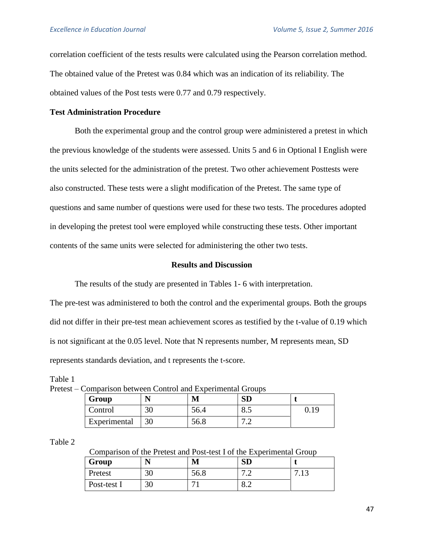correlation coefficient of the tests results were calculated using the Pearson correlation method. The obtained value of the Pretest was 0.84 which was an indication of its reliability. The obtained values of the Post tests were 0.77 and 0.79 respectively.

# **Test Administration Procedure**

Both the experimental group and the control group were administered a pretest in which the previous knowledge of the students were assessed. Units 5 and 6 in Optional I English were the units selected for the administration of the pretest. Two other achievement Posttests were also constructed. These tests were a slight modification of the Pretest. The same type of questions and same number of questions were used for these two tests. The procedures adopted in developing the pretest tool were employed while constructing these tests. Other important contents of the same units were selected for administering the other two tests.

### **Results and Discussion**

The results of the study are presented in Tables 1- 6 with interpretation.

The pre-test was administered to both the control and the experimental groups. Both the groups did not differ in their pre-test mean achievement scores as testified by the t-value of 0.19 which is not significant at the 0.05 level. Note that N represents number, M represents mean, SD represents standards deviation, and t represents the t-score.

| Comparison between Control and Experimental Groups |    |      |     |      |  |  |  |
|----------------------------------------------------|----|------|-----|------|--|--|--|
| Group                                              |    |      |     |      |  |  |  |
| Control                                            | 30 | 56.4 |     | 0.19 |  |  |  |
| Experimental                                       | 30 | 56.8 | − ∼ |      |  |  |  |

Pretest –  $C$ 

#### Table 2

Table 1

Comparison of the Pretest and Post-test I of the Experimental Group

| Group       |    | M              | <b>SD</b>                |             |
|-------------|----|----------------|--------------------------|-------------|
| Pretest     | 30 | 56.8           | $\sim$ $\sim$<br>.       | 12<br>ر 1 . |
| Post-test I | 30 | $\overline{ }$ | $\Omega$ $\Omega$<br>0.4 |             |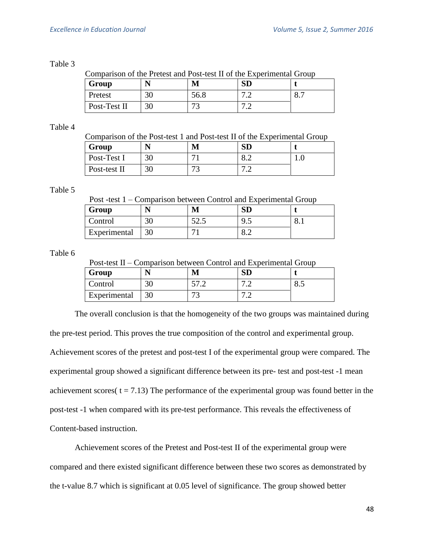## Table 3

Comparison of the Pretest and Post-test II of the Experimental Group

| Group        | N  | М             | <b>SD</b>            |                |
|--------------|----|---------------|----------------------|----------------|
| Pretest      | 30 | 56.8          | $\sim$ $\sim$<br>ے ، | $\mathbf{o}$ . |
| Post-Test II | 30 | $\mathcal{L}$ | $\sim$ $\sim$<br>.   |                |

# Table 4

|  |  |  |  | Comparison of the Post-test 1 and Post-test II of the Experimental Group |  |
|--|--|--|--|--------------------------------------------------------------------------|--|
|  |  |  |  |                                                                          |  |

| Group        | N  | M                        | <b>SD</b>                                 |     |
|--------------|----|--------------------------|-------------------------------------------|-----|
| Post-Test I  | 30 | $\overline{\phantom{a}}$ | $\mathbf{0.4}$                            | 1.V |
| Post-test II | 30 | $\mathcal{L}$            | $\sim$ $\sim$<br>$\overline{\phantom{a}}$ |     |

# Table 5

Post -test 1 – Comparison between Control and Experimental Group

| Group        |                      |      | עט  |     |
|--------------|----------------------|------|-----|-----|
| Control      | $\mathcal{L}$<br>JV. | ن. ک | ن ر | v.i |
| Experimental | IJΨ                  |      | ◡.∠ |     |

Table 6

Post-test II – Comparison between Control and Experimental Group

| Group        |    | M                   | ЭL                                         |    |
|--------------|----|---------------------|--------------------------------------------|----|
| Control      | υv |                     | $\overline{ }$<br>$\overline{\phantom{a}}$ | ്. |
| Experimental |    | $\mathbf{r}$<br>. . | −<br>$\overline{\phantom{0}}$              |    |

The overall conclusion is that the homogeneity of the two groups was maintained during the pre-test period. This proves the true composition of the control and experimental group. Achievement scores of the pretest and post-test I of the experimental group were compared. The experimental group showed a significant difference between its pre- test and post-test -1 mean achievement scores( $t = 7.13$ ) The performance of the experimental group was found better in the post-test -1 when compared with its pre-test performance. This reveals the effectiveness of Content-based instruction.

Achievement scores of the Pretest and Post-test II of the experimental group were compared and there existed significant difference between these two scores as demonstrated by the t-value 8.7 which is significant at 0.05 level of significance. The group showed better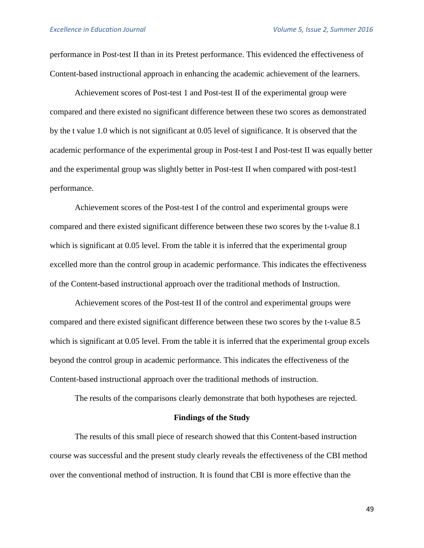performance in Post-test II than in its Pretest performance. This evidenced the effectiveness of Content-based instructional approach in enhancing the academic achievement of the learners.

Achievement scores of Post-test 1 and Post-test II of the experimental group were compared and there existed no significant difference between these two scores as demonstrated by the t value 1.0 which is not significant at 0.05 level of significance. It is observed that the academic performance of the experimental group in Post-test I and Post-test II was equally better and the experimental group was slightly better in Post-test II when compared with post-test1 performance.

Achievement scores of the Post-test I of the control and experimental groups were compared and there existed significant difference between these two scores by the t-value 8.1 which is significant at 0.05 level. From the table it is inferred that the experimental group excelled more than the control group in academic performance. This indicates the effectiveness of the Content-based instructional approach over the traditional methods of Instruction.

Achievement scores of the Post-test II of the control and experimental groups were compared and there existed significant difference between these two scores by the t-value 8.5 which is significant at 0.05 level. From the table it is inferred that the experimental group excels beyond the control group in academic performance. This indicates the effectiveness of the Content-based instructional approach over the traditional methods of instruction.

The results of the comparisons clearly demonstrate that both hypotheses are rejected.

#### **Findings of the Study**

The results of this small piece of research showed that this Content-based instruction course was successful and the present study clearly reveals the effectiveness of the CBI method over the conventional method of instruction. It is found that CBI is more effective than the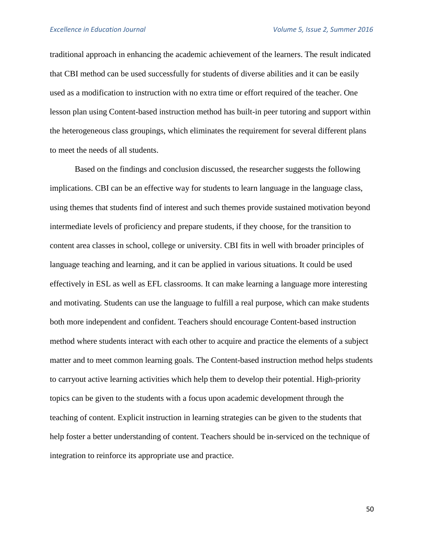traditional approach in enhancing the academic achievement of the learners. The result indicated that CBI method can be used successfully for students of diverse abilities and it can be easily used as a modification to instruction with no extra time or effort required of the teacher. One lesson plan using Content-based instruction method has built-in peer tutoring and support within the heterogeneous class groupings, which eliminates the requirement for several different plans to meet the needs of all students.

Based on the findings and conclusion discussed, the researcher suggests the following implications. CBI can be an effective way for students to learn language in the language class, using themes that students find of interest and such themes provide sustained motivation beyond intermediate levels of proficiency and prepare students, if they choose, for the transition to content area classes in school, college or university. CBI fits in well with broader principles of language teaching and learning, and it can be applied in various situations. It could be used effectively in ESL as well as EFL classrooms. It can make learning a language more interesting and motivating. Students can use the language to fulfill a real purpose, which can make students both more independent and confident. Teachers should encourage Content-based instruction method where students interact with each other to acquire and practice the elements of a subject matter and to meet common learning goals. The Content-based instruction method helps students to carryout active learning activities which help them to develop their potential. High-priority topics can be given to the students with a focus upon academic development through the teaching of content. Explicit instruction in learning strategies can be given to the students that help foster a better understanding of content. Teachers should be in-serviced on the technique of integration to reinforce its appropriate use and practice.